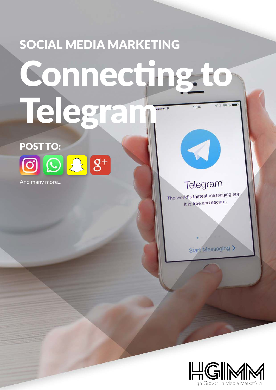# SOCIAL MEDIA MARKETING Connecting to Telegram  $4 * 88 %$  $16:16$

POST TO:  $\bigcirc$   $\bigcirc$   $\Omega$   $8^+$ 

And many more...

Telegram

 $\blacktriangleleft$ 

The world's fastest messaging app. It is free and secure.

Start Messaging >

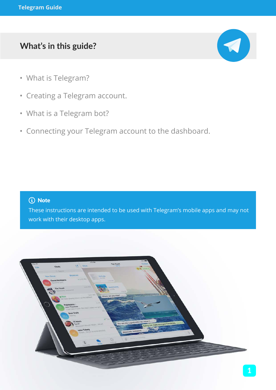## **What's in this guide?**



- What is Telegram?
- Creating a Telegram account.
- What is a Telegram bot?
- Connecting your Telegram account to the dashboard.

#### (i) Note

These instructions are intended to be used with Telegram's mobile apps and may not work with their desktop apps.

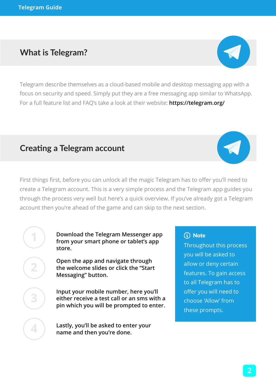**1**

**2**

**3**

**4**

## **What is Telegram?**

Telegram describe themselves as a cloud-based mobile and desktop messaging app with a focus on security and speed. Simply put they are a free messaging app similar to WhatsApp. For a full feature list and FAQ's take a look at their website: **https://telegram.org/**

#### **Creating a Telegram account**

First things first, before you can unlock all the magic Telegram has to offer you'll need to create a Telegram account. This is a very simple process and the Telegram app guides you through the process very well but here's a quick overview. If you've already got a Telegram account then you're ahead of the game and can skip to the next section.

> **Download the Telegram Messenger app from your smart phone or tablet's app store.**

**Open the app and navigate through the welcome slides or click the "Start Messaging" button.**

**Input your mobile number, here you'll either receive a test call or an sms with a pin which you will be prompted to enter.**

**Lastly, you'll be asked to enter your name and then you're done.**

## (i) Note

Throughout this process you will be asked to allow or deny certain features. To gain access to all Telegram has to offer you will need to choose 'Allow' from these prompts.



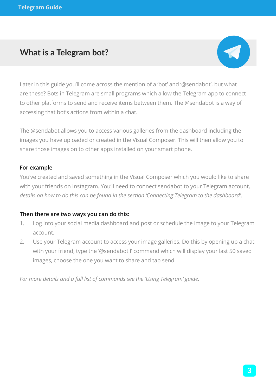## **What is a Telegram bot?**



Later in this guide you'll come across the mention of a 'bot' and '@sendabot', but what are these? Bots in Telegram are small programs which allow the Telegram app to connect to other platforms to send and receive items between them. The @sendabot is a way of accessing that bot's actions from within a chat.

The @sendabot allows you to access various galleries from the dashboard including the images you have uploaded or created in the Visual Composer. This will then allow you to share those images on to other apps installed on your smart phone.

#### **For example**

You've created and saved something in the Visual Composer which you would like to share with your friends on Instagram. You'll need to connect sendabot to your Telegram account, *details on how to do this can be found in the section 'Connecting Telegram to the dashboard'*.

#### **Then there are two ways you can do this:**

- 1. Log into your social media dashboard and post or schedule the image to your Telegram account.
- 2. Use your Telegram account to access your image galleries. Do this by opening up a chat with your friend, type the '@sendabot l' command which will display your last 50 saved images, choose the one you want to share and tap send.

*For more details and a full list of commands see the 'Using Telegram' guide.*